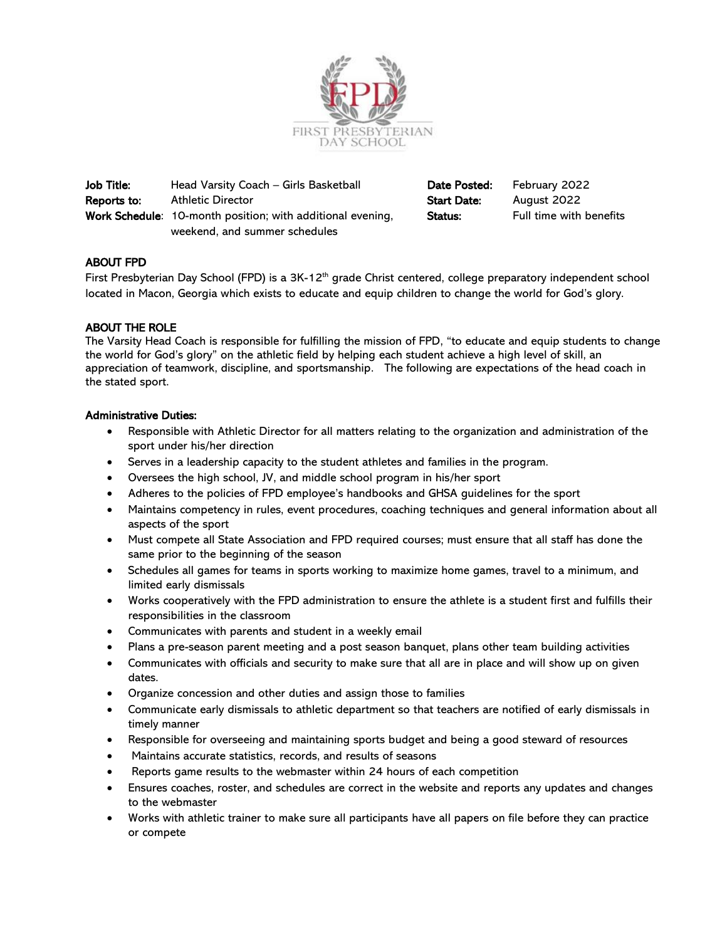

Job Title: Head Varsity Coach – Girls Basketball **Date Posted:** February 2022 Reports to: Athletic Director Start Date: August 2022 Work Schedule: 10-month position; with additional evening, Status: Full time with benefits weekend, and summer schedules

# ABOUT FPD

First Presbyterian Day School (FPD) is a 3K-12<sup>th</sup> grade Christ centered, college preparatory independent school located in Macon, Georgia which exists to educate and equip children to change the world for God's glory.

## ABOUT THE ROLE

The Varsity Head Coach is responsible for fulfilling the mission of FPD, "to educate and equip students to change the world for God's glory" on the athletic field by helping each student achieve a high level of skill, an appreciation of teamwork, discipline, and sportsmanship. The following are expectations of the head coach in the stated sport.

## Administrative Duties:

- Responsible with Athletic Director for all matters relating to the organization and administration of the sport under his/her direction
- Serves in a leadership capacity to the student athletes and families in the program.
- Oversees the high school, JV, and middle school program in his/her sport
- Adheres to the policies of FPD employee's handbooks and GHSA guidelines for the sport
- Maintains competency in rules, event procedures, coaching techniques and general information about all aspects of the sport
- Must compete all State Association and FPD required courses; must ensure that all staff has done the same prior to the beginning of the season
- Schedules all games for teams in sports working to maximize home games, travel to a minimum, and limited early dismissals
- Works cooperatively with the FPD administration to ensure the athlete is a student first and fulfills their responsibilities in the classroom
- Communicates with parents and student in a weekly email
- Plans a pre-season parent meeting and a post season banquet, plans other team building activities
- Communicates with officials and security to make sure that all are in place and will show up on given dates.
- Organize concession and other duties and assign those to families
- Communicate early dismissals to athletic department so that teachers are notified of early dismissals in timely manner
- Responsible for overseeing and maintaining sports budget and being a good steward of resources
- Maintains accurate statistics, records, and results of seasons
- Reports game results to the webmaster within 24 hours of each competition
- Ensures coaches, roster, and schedules are correct in the website and reports any updates and changes to the webmaster
- Works with athletic trainer to make sure all participants have all papers on file before they can practice or compete